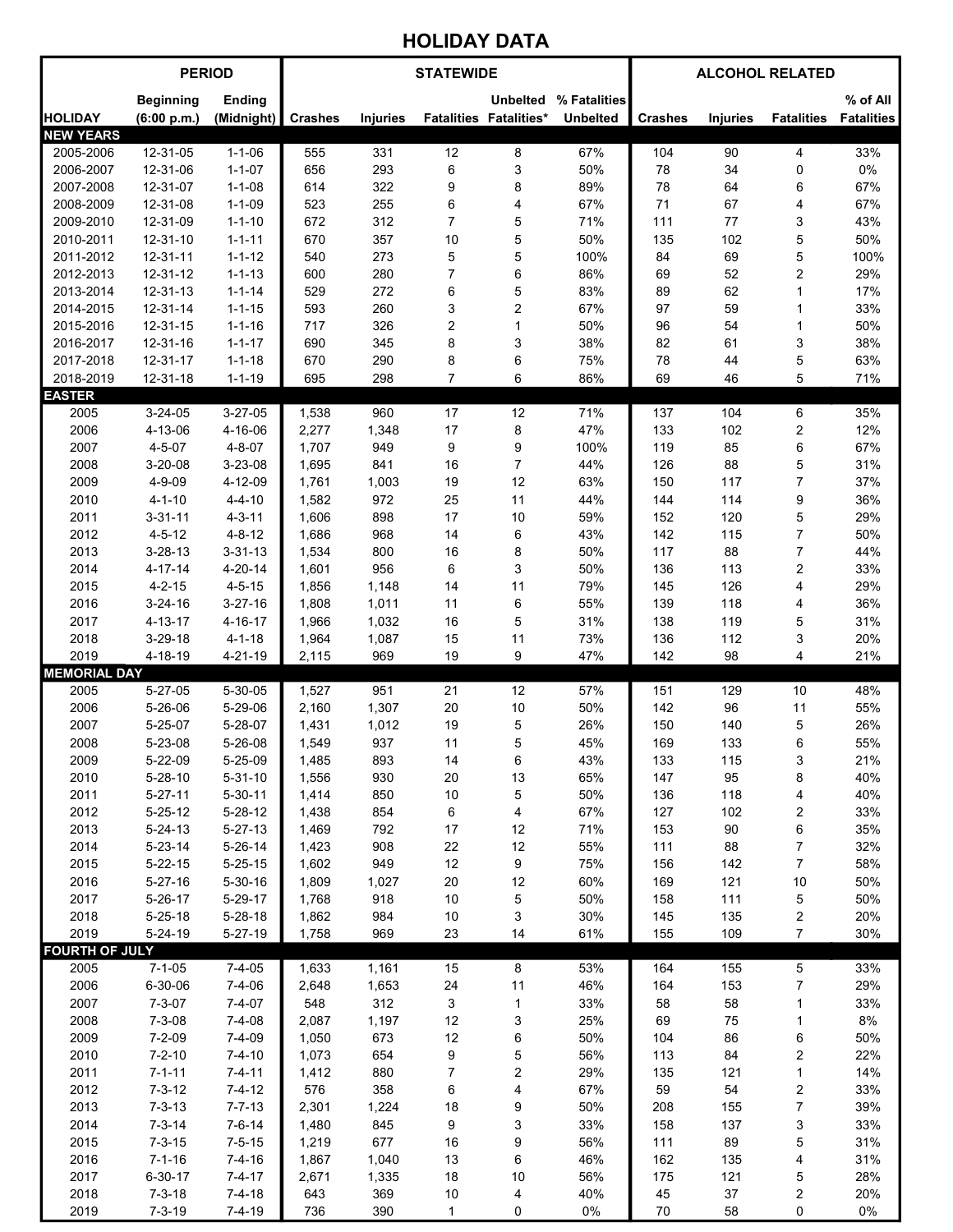## HOLIDAY DATA

| <b>PERIOD</b>                 |                                |                                |                | <b>STATEWIDE</b> |                         | <b>ALCOHOL RELATED</b>        |                 |                |                 |                         |                   |
|-------------------------------|--------------------------------|--------------------------------|----------------|------------------|-------------------------|-------------------------------|-----------------|----------------|-----------------|-------------------------|-------------------|
|                               | <b>Beginning</b>               | Ending                         |                |                  |                         | <b>Unbelted</b>               | % Fatalities    |                |                 |                         | % of All          |
| <b>HOLIDAY</b>                | (6:00 p.m.)                    | (Midnight)                     | <b>Crashes</b> | <b>Injuries</b>  |                         | <b>Fatalities Fatalities*</b> | <b>Unbelted</b> | <b>Crashes</b> | <b>Injuries</b> | <b>Fatalities</b>       | <b>Fatalities</b> |
| <b>NEW YEARS</b><br>2005-2006 | 12-31-05                       | $1 - 1 - 06$                   | 555            | 331              | 12                      | 8                             | 67%             | 104            | 90              | 4                       | 33%               |
| 2006-2007                     | 12-31-06                       | $1 - 1 - 07$                   | 656            | 293              | 6                       | 3                             | 50%             | 78             | 34              | 0                       | 0%                |
| 2007-2008                     | 12-31-07                       | $1 - 1 - 08$                   | 614            | 322              | 9                       | 8                             | 89%             | 78             | 64              | 6                       | 67%               |
| 2008-2009                     | 12-31-08                       | $1 - 1 - 09$                   | 523            | 255              | 6                       | 4                             | 67%             | 71             | 67              | 4                       | 67%               |
| 2009-2010                     | 12-31-09                       | $1 - 1 - 10$                   | 672            | 312              | $\overline{7}$          | 5                             | 71%             | 111            | 77              | 3                       | 43%               |
| 2010-2011                     | 12-31-10                       | $1 - 1 - 11$                   | 670            | 357              | 10                      | 5                             | 50%             | 135            | 102             | 5                       | 50%               |
| 2011-2012                     | 12-31-11                       | $1 - 1 - 12$                   | 540            | 273              | 5                       | 5                             | 100%            | 84             | 69              | 5                       | 100%              |
| 2012-2013                     | 12-31-12                       | $1 - 1 - 13$                   | 600            | 280              | $\overline{7}$          | 6                             | 86%             | 69             | 52              | $\overline{c}$          | 29%               |
| 2013-2014                     | 12-31-13                       | $1 - 1 - 14$                   | 529            | 272              | $\,6\,$                 | 5                             | 83%             | 89             | 62              | 1                       | 17%               |
| 2014-2015                     | 12-31-14                       | $1 - 1 - 15$                   | 593            | 260              | 3                       | $\overline{\mathbf{c}}$       | 67%             | 97             | 59              | 1                       | 33%               |
| 2015-2016                     | 12-31-15                       | $1 - 1 - 16$                   | 717            | 326              | $\overline{\mathbf{c}}$ | $\mathbf{1}$                  | 50%             | 96             | 54              | 1                       | 50%               |
| 2016-2017                     | 12-31-16                       | $1 - 1 - 17$                   | 690            | 345              | 8                       | 3                             | 38%             | 82             | 61              | 3                       | 38%               |
| 2017-2018                     | 12-31-17                       | $1 - 1 - 18$                   | 670            | 290              | 8                       | 6                             | 75%             | 78             | 44              | 5                       | 63%               |
| 2018-2019<br><b>EASTER</b>    | 12-31-18                       | $1 - 1 - 19$                   | 695            | 298              | $\overline{7}$          | 6                             | 86%             | 69             | 46              | 5                       | 71%               |
| 2005                          | $3 - 24 - 05$                  | $3 - 27 - 05$                  | 1,538          | 960              | 17                      | 12                            | 71%             | 137            | 104             | 6                       | 35%               |
| 2006                          | 4-13-06                        | 4-16-06                        | 2,277          | 1,348            | 17                      | 8                             | 47%             | 133            | 102             | $\overline{\mathbf{c}}$ | 12%               |
| 2007                          | $4 - 5 - 07$                   | $4 - 8 - 07$                   | 1,707          | 949              | 9                       | 9                             | 100%            | 119            | 85              | 6                       | 67%               |
| 2008                          | $3 - 20 - 08$                  | 3-23-08                        | 1,695          | 841              | 16                      | $\overline{7}$                | 44%             | 126            | 88              | 5                       | 31%               |
| 2009                          | $4 - 9 - 09$                   | 4-12-09                        | 1,761          | 1,003            | 19                      | 12                            | 63%             | 150            | 117             | $\overline{7}$          | 37%               |
| 2010                          | $4 - 1 - 10$                   | $4 - 4 - 10$                   | 1,582          | 972              | 25                      | 11                            | 44%             | 144            | 114             | 9                       | 36%               |
| 2011                          | $3 - 31 - 11$                  | $4 - 3 - 11$                   | 1,606          | 898              | 17                      | 10                            | 59%             | 152            | 120             | 5                       | 29%               |
| 2012                          | $4 - 5 - 12$                   | $4 - 8 - 12$                   | 1,686          | 968              | 14                      | 6                             | 43%             | 142            | 115             | $\overline{7}$          | 50%               |
| 2013                          | $3 - 28 - 13$                  | $3 - 31 - 13$                  | 1,534          | 800              | 16                      | 8                             | 50%             | 117            | 88              | $\overline{7}$          | 44%               |
| 2014                          | $4 - 17 - 14$                  | $4 - 20 - 14$                  | 1,601          | 956              | 6                       | 3                             | 50%             | 136            | 113             | $\overline{c}$          | 33%               |
| 2015                          | $4 - 2 - 15$                   | $4 - 5 - 15$                   | 1,856          | 1,148            | 14                      | 11                            | 79%             | 145            | 126             | 4                       | 29%               |
| 2016                          | $3 - 24 - 16$                  | $3 - 27 - 16$                  | 1,808          | 1,011            | 11                      | 6                             | 55%             | 139            | 118             | 4                       | 36%               |
| 2017                          | 4-13-17                        | 4-16-17                        | 1,966          | 1,032            | 16                      | 5                             | 31%             | 138            | 119             | 5                       | 31%               |
| 2018<br>2019                  | $3 - 29 - 18$<br>4-18-19       | $4 - 1 - 18$<br>4-21-19        | 1,964<br>2,115 | 1,087<br>969     | 15<br>19                | 11<br>9                       | 73%<br>47%      | 136<br>142     | 112<br>98       | 3<br>4                  | 20%<br>21%        |
| <b>MEMORIAL DAY</b>           |                                |                                |                |                  |                         |                               |                 |                |                 |                         |                   |
| 2005                          | $5 - 27 - 05$                  | 5-30-05                        | 1,527          | 951              | 21                      | 12                            | 57%             | 151            | 129             | 10                      | 48%               |
| 2006                          | 5-26-06                        | 5-29-06                        | 2,160          | 1,307            | 20                      | 10                            | 50%             | 142            | 96              | 11                      | 55%               |
| 2007                          | 5-25-07                        | 5-28-07                        | 1,431          | 1,012            | 19                      | 5                             | 26%             | 150            | 140             | 5                       | 26%               |
| 2008                          | 5-23-08                        | 5-26-08                        | 1,549          | 937              | 11                      | 5                             | 45%             | 169            | 133             | 6                       | 55%               |
| 2009                          | 5-22-09                        | 5-25-09                        | 1,485          | 893              | 14                      | 6                             | 43%             | 133            | 115             | 3                       | 21%               |
| 2010                          | $5 - 28 - 10$                  | $5 - 31 - 10$                  | 1,556          | 930              | 20                      | 13                            | 65%             | 147            | 95              | 8                       | 40%               |
| 2011                          | $5 - 27 - 11$                  | $5 - 30 - 11$                  | 1,414          | 850              | 10                      | 5                             | 50%             | 136            | 118             | 4                       | 40%               |
| 2012                          | $5 - 25 - 12$                  | $5 - 28 - 12$                  | 1,438          | 854              | 6                       | 4                             | 67%             | 127            | 102             | 2                       | 33%               |
| 2013                          | $5 - 24 - 13$                  | $5 - 27 - 13$                  | 1,469          | 792              | 17                      | 12                            | 71%             | 153            | 90              | 6                       | 35%               |
| 2014<br>2015                  | $5 - 23 - 14$                  | $5 - 26 - 14$                  | 1,423          | 908<br>949       | 22<br>12                | 12                            | 55%<br>75%      | 111            | 88              | $\boldsymbol{7}$        | 32%<br>58%        |
| 2016                          | $5 - 22 - 15$<br>$5 - 27 - 16$ | $5 - 25 - 15$<br>$5 - 30 - 16$ | 1,602<br>1,809 | 1,027            | 20                      | 9<br>12                       | 60%             | 156<br>169     | 142<br>121      | 7<br>10                 | 50%               |
| 2017                          | $5 - 26 - 17$                  | $5 - 29 - 17$                  | 1,768          | 918              | $10$                    | 5                             | 50%             | 158            | 111             | $\mathbf 5$             | 50%               |
| 2018                          | $5 - 25 - 18$                  | $5 - 28 - 18$                  | 1,862          | 984              | $10$                    | 3                             | 30%             | 145            | 135             | $\overline{\mathbf{c}}$ | 20%               |
| 2019                          | $5 - 24 - 19$                  | $5 - 27 - 19$                  | 1,758          | 969              | 23                      | 14                            | 61%             | 155            | 109             | $\boldsymbol{7}$        | 30%               |
| <b>FOURTH OF JULY</b>         |                                |                                |                |                  |                         |                               |                 |                |                 |                         |                   |
| 2005                          | $7 - 1 - 05$                   | $7 - 4 - 05$                   | 1,633          | 1,161            | 15                      | 8                             | 53%             | 164            | 155             | 5                       | 33%               |
| 2006                          | 6-30-06                        | $7 - 4 - 06$                   | 2,648          | 1,653            | 24                      | 11                            | 46%             | 164            | 153             | 7                       | 29%               |
| 2007                          | $7 - 3 - 07$                   | $7 - 4 - 07$                   | 548            | 312              | 3                       | $\mathbf{1}$                  | 33%             | 58             | 58              | 1                       | 33%               |
| 2008                          | $7 - 3 - 08$                   | $7 - 4 - 08$                   | 2,087          | 1,197            | 12                      | 3                             | 25%             | 69             | $75\,$          | 1                       | $8\%$             |
| 2009                          | $7 - 2 - 09$                   | $7 - 4 - 09$                   | 1,050          | 673              | 12                      | 6                             | 50%             | 104            | 86              | 6                       | 50%               |
| 2010                          | $7 - 2 - 10$                   | $7 - 4 - 10$                   | 1,073          | 654              | 9                       | 5                             | 56%             | 113            | 84              | $\boldsymbol{2}$        | 22%               |
| 2011<br>2012                  | $7 - 1 - 11$                   | $7 - 4 - 11$<br>$7 - 4 - 12$   | 1,412<br>576   | 880<br>358       | 7                       | $\overline{\mathbf{c}}$<br>4  | 29%<br>67%      | 135<br>59      | 121<br>54       | 1                       | 14%<br>33%        |
| 2013                          | $7 - 3 - 12$<br>$7 - 3 - 13$   | $7 - 7 - 13$                   | 2,301          | 1,224            | 6<br>18                 | 9                             | 50%             | 208            | 155             | 2<br>$\overline{7}$     | 39%               |
| 2014                          | $7 - 3 - 14$                   | $7 - 6 - 14$                   | 1,480          | 845              | 9                       | 3                             | 33%             | 158            | 137             | 3                       | 33%               |
| 2015                          | $7 - 3 - 15$                   | $7 - 5 - 15$                   | 1,219          | 677              | 16                      | 9                             | 56%             | 111            | 89              | 5                       | 31%               |
| 2016                          | $7 - 1 - 16$                   | $7 - 4 - 16$                   | 1,867          | 1,040            | 13                      | 6                             | 46%             | 162            | 135             | 4                       | 31%               |
| 2017                          | $6 - 30 - 17$                  | $7 - 4 - 17$                   | 2,671          | 1,335            | 18                      | 10                            | 56%             | 175            | 121             | 5                       | 28%               |
| 2018                          | $7 - 3 - 18$                   | $7 - 4 - 18$                   | 643            | 369              | $10$                    | 4                             | 40%             | 45             | 37              | 2                       | 20%               |
| 2019                          | $7 - 3 - 19$                   | $7 - 4 - 19$                   | 736            | 390              | 1                       | 0                             | 0%              | 70             | 58              | 0                       | 0%                |